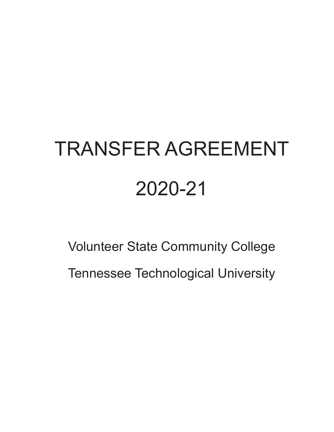# TRANSFER AGREEMENT 2020-21

Volunteer State Community College Tennessee Technological University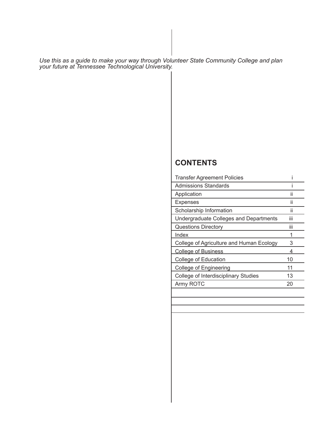*Use this as a guide to make your way through Volunteer State Community College and plan your future at Tennessee Technological University.*

### **CONTENTS**

| <b>Transfer Agreement Policies</b>       |     |  |
|------------------------------------------|-----|--|
| Admissions Standards                     |     |  |
| Application                              | ii  |  |
| <b>Expenses</b>                          | ii  |  |
| Scholarship Information                  | ii  |  |
| Undergraduate Colleges and Departments   | iii |  |
| <b>Questions Directory</b>               | iii |  |
| Index                                    |     |  |
| College of Agriculture and Human Ecology | 3   |  |
| <b>College of Business</b>               |     |  |
| College of Education                     | 10  |  |
| College of Engineering                   | 11  |  |
| College of Interdisciplinary Studies     | 13  |  |
| Army ROTC                                | 20  |  |
|                                          |     |  |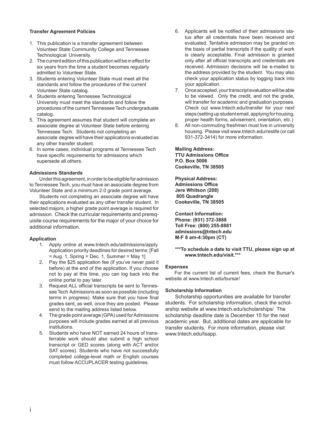#### **Transfer Agreement Policies**

- 1. This publication is a transfer agreement between Volunteer State Community College and Tennessee Technological University.
- 2. The current edition of this publication will be in effect for six years from the time a student becomes regularly admitted to Volunteer State.
- 3. Students entering Volunteer State must meet all the standards and follow the procedures of the current Volunteer State catalog.
- 4. Students entering Tennessee Technological University must meet the standards and follow the procedures of the current Tennessee Tech undergraduate catalog.
- 5. This agreement assumes that student will complete an associate degree at Volunteer State before entering Tennessee Tech. Students not completing an associate degree will have their applications evaluated as any other transfer student.
- 6. In some cases, individual programs at Tennessee Tech have specific requirements for admissions which supersede all others.

#### **Admissions Standards**

 Under this agreement, in order to be eligible for admission to Tennessee Tech, you must have an associate degree from Volunteer State and a minimum 2.0 grade point average.

 Students not completing an associate degree will have their applications evaluated as any other transfer student. In selected majors, a higher grade point average is required for admission. Check the curricular requirements and prerequisite course requirements for the major of your choice for additional information.

#### **Application**

- 1. Apply online at www.tntech.edu/admissions/apply. Application priority deadlines for desired terms: [Fall  $=$  Aug. 1, Spring  $=$  Dec. 1, Summer  $=$  May 1
- 2. Pay the \$25 application fee (if you've never paid it before) at the end of the application. If you choose not to pay at this time, you can log back into the online portal to pay later.
- 3. Request ALL official transcripts be sent to Tennessee Tech Admissions as soon as possible (including terms in progress). Make sure that you have final grades sent, as well, once they are posted. Please send to the mailing address listed below.
- 4. The grade point average (GPA) used for Admissions purposes will include grades earned at all previous institutions.
- 5. Students who have NOT earned 24 hours of transferrable work should also submit a high school transcript or GED scores (along with ACT and/or SAT scores). Students who have not successfully completed college-level math or English courses must follow ACCUPLACER testing guidelines.
- 6. Applicants will be notified of their admissions status after all credentials have been received and evaluated. Tentative admission may be granted on the basis of partial transcripts if the quality of work is clearly acceptable. Final admission is granted only after all official transcripts and credentials are received. Admission decisions will be e-mailed to the address provided by the student. You may also check your application status by logging back into your application.
- 7. Once accepted, your transcript evaluation will be able to be viewed. Only the credit, and not the grade, will transfer for academic and graduation purposes. Check out www.tntech.edu/transfer for your next steps (setting up student email, applying for housing, proper health forms, advisement, orientation, etc.)
- 8. All non-commuting freshmen must live in university housing. Please visit www.tntech.edu/reslife (or call 931-372-3414) for more information.

**Mailing Address: TTU Admissions Offi ce P.O. Box 5006 Cookeville, TN 38505**

**Physical Address: Admissions Offi ce Jere Whitson (208) 805 Quadrangle Cookeville, TN 38505**

**Contact Information: Phone: (931) 372-3888 Toll Free: (800) 255-8881 admissions@tntech.edu M-F 8 am-4:30pm (CT)** 

#### **\*\*\*To schedule a date to visit TTU, please sign up at www.tntech.edu/visit.\*\*\***

#### **Expenses**

For the current list of current fees, check the Bursar's website at www.tntech.edu/bursar/

#### **Scholarship Information**

Scholarship opportunities are available for transfer students. For scholarship information, check the scholarship website at www.tntech.edu/scholarships/ The scholarship deadline date is December 15 for the next academic year. But, additional dates are applicable for transfer students. For more information, please visit www.tntech.edu/tsapp.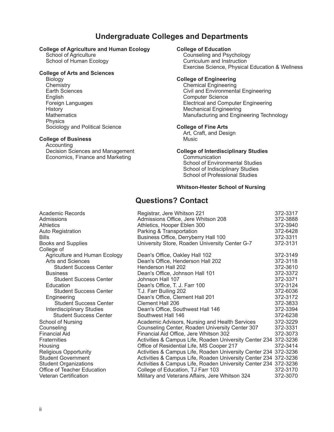### **Undergraduate Colleges and Departments**

# **College of Agriculture and Human Ecology College of Education**<br>Counseling and Psy

School of Agriculture Counseling and Psychology<br>
School of Human Ecology<br>
Curriculum and Instruction

#### **College of Arts and Sciences**

 Biology **College of Engineering** Chemistry Chemical Engineering English Computer Science **History Mechanical Engineering Physics** Sociology and Political Science **College of Fine Arts** 

#### **College of Business <b>Music** Music

**Accounting** Decision Sciences and Management **College of Interdisciplinary Studies** Economics, Finance and Marketing *Communication* 

Curriculum and Instruction Exercise Science, Physical Education & Wellness

Civil and Environmental Engineering Electrical and Computer Engineering Mathematics Manufacturing and Engineering Technology

Art, Craft, and Design

School of Environmental Studies School of Indisciplinary Studies School of Professional Studies

#### **Whitson-Hester School of Nursing**

### **Questions? Contact**

| Academic Records                 | Registrar, Jere Whitson 221                                     | 372-3317 |
|----------------------------------|-----------------------------------------------------------------|----------|
| Admissions                       | Admissions Office, Jere Whitson 208                             | 372-3888 |
| <b>Athletics</b>                 | Athletics, Hooper Eblen 300                                     | 372-3940 |
| <b>Auto Registration</b>         | Parking & Transportation                                        | 372-6428 |
| <b>Bills</b>                     | Business Office, Derryberry Hall 100                            | 372-3311 |
| <b>Books and Supplies</b>        | University Store, Roaden University Center G-7                  | 372-3131 |
| College of                       |                                                                 |          |
| Agriculture and Human Ecology    | Dean's Office, Oakley Hall 102                                  | 372-3149 |
| Arts and Sciences                | Dean's Office, Henderson Hall 202                               | 372-3118 |
| <b>Student Success Center</b>    | Henderson Hall 202                                              | 372-3610 |
| <b>Business</b>                  | Dean's Office, Johnson Hall 101                                 | 372-3372 |
| <b>Student Success Center</b>    | Johnson Hall 107                                                | 372-3371 |
| Education                        | Dean's Office, T. J. Farr 100                                   | 372-3124 |
| <b>Student Success Center</b>    | T.J. Farr Builing 202                                           | 372-6036 |
| Engineering                      | Dean's Office, Clement Hall 201                                 | 372-3172 |
| <b>Student Success Center</b>    | <b>Clement Hall 206</b>                                         | 372-3833 |
| <b>Interdisciplinary Studies</b> | Dean's Office, Southwest Hall 146                               | 372-3394 |
| <b>Student Success Center</b>    | Southwest Hall 146                                              | 372-6238 |
| School of Nursing                | Academic Advisors, Nursing and Health Services                  | 372-3229 |
| Counseling                       | Counseling Center, Roaden University Center 307                 | 372-3331 |
| <b>Financial Aid</b>             | Financial Aid Office, Jere Whitson 302                          | 372-3073 |
| <b>Fraternities</b>              | Activities & Campus Life, Roaden University Center 234 372-3236 |          |
| Housing                          | Office of Residential Life, MS Cooper 217                       | 372-3414 |
| <b>Religious Opportunity</b>     | Activities & Campus Life, Roaden University Center 234 372-3236 |          |
| <b>Student Government</b>        | Activities & Campus Life, Roaden University Center 234 372-3236 |          |
| <b>Student Organizations</b>     | Activities & Campus Life, Roaden University Center 234 372-3236 |          |
| Office of Teacher Education      | College of Education, TJ Farr 103                               | 372-3170 |
| <b>Veteran Certification</b>     | Military and Veterans Affairs, Jere Whitson 324                 | 372-3070 |
|                                  |                                                                 |          |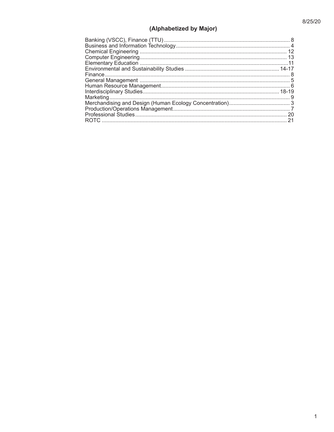### (Alphabetized by Major)

| 20 |
|----|
|    |
|    |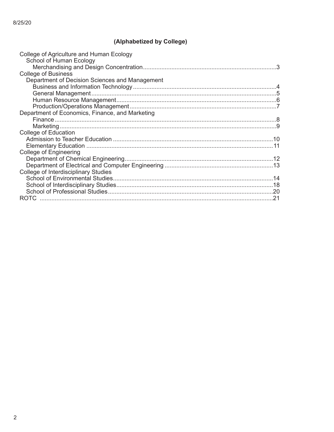### (Alphabetized by College)

| College of Agriculture and Human Ecology<br>School of Human Ecology |  |
|---------------------------------------------------------------------|--|
|                                                                     |  |
| <b>College of Business</b>                                          |  |
| Department of Decision Sciences and Management                      |  |
|                                                                     |  |
|                                                                     |  |
|                                                                     |  |
|                                                                     |  |
| Department of Economics, Finance, and Marketing                     |  |
|                                                                     |  |
|                                                                     |  |
| <b>College of Education</b>                                         |  |
|                                                                     |  |
|                                                                     |  |
| <b>College of Engineering</b>                                       |  |
|                                                                     |  |
|                                                                     |  |
| College of Interdisciplinary Studies                                |  |
|                                                                     |  |
|                                                                     |  |
|                                                                     |  |
|                                                                     |  |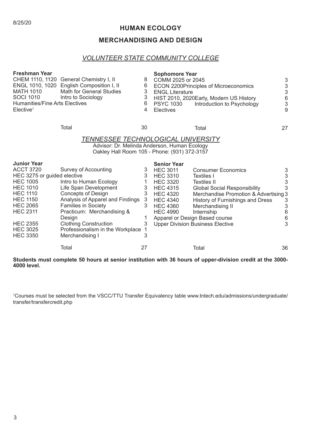#### 8/25/20

#### **HUMAN ECOLOGY**

### **MERCHANDISING AND DESIGN**

#### *VOLUNTEER STATE COMMUNITY COLLEGE*

| <b>Freshman Year</b><br><b>MATH 1010</b><br><b>SOCI 1010</b><br><b>Humanities/Fine Arts Electives</b><br>$E$ lective <sup>1</sup>                                       | CHEM 1110, 1120 General Chemistry I, II<br>ENGL 1010, 1020 English Composition I, II<br><b>Math for General Studies</b><br>Intro to Sociology                                                                                                                                 | 8<br>6<br>3<br>3<br>6<br>4                | <b>Sophomore Year</b><br>COMM 2025 or 2045<br><b>ENGL Literature</b><br><b>PSYC 1030</b><br>Electives          | ECON 2200Principles of Microeconomics<br>HIST 2010, 2020Early, Modern US History<br>Introduction to Psychology                                                                                                                                        | 3<br>$\frac{3}{3}$<br>$\begin{array}{c} 6 \\ 3 \end{array}$<br>9 |
|-------------------------------------------------------------------------------------------------------------------------------------------------------------------------|-------------------------------------------------------------------------------------------------------------------------------------------------------------------------------------------------------------------------------------------------------------------------------|-------------------------------------------|----------------------------------------------------------------------------------------------------------------|-------------------------------------------------------------------------------------------------------------------------------------------------------------------------------------------------------------------------------------------------------|------------------------------------------------------------------|
|                                                                                                                                                                         | Total                                                                                                                                                                                                                                                                         | 30                                        |                                                                                                                | Total                                                                                                                                                                                                                                                 | 27                                                               |
| <b>Junior Year</b><br><b>ACCT 3720</b>                                                                                                                                  | <b>TENNESSEE TECHNOLOGICAL UNIVERSITY</b><br>Advisor: Dr. Melinda Anderson, Human Ecology<br>Oakley Hall Room 105 - Phone: (931) 372-3157<br>Survey of Accounting                                                                                                             | 3                                         | <b>Senior Year</b><br><b>HEC 3011</b>                                                                          | <b>Consumer Economics</b>                                                                                                                                                                                                                             | 3                                                                |
| HEC 3275 or guided elective                                                                                                                                             |                                                                                                                                                                                                                                                                               | 3                                         | <b>HEC 3310</b>                                                                                                | Textiles I                                                                                                                                                                                                                                            | $\frac{3}{3}$                                                    |
| <b>HEC 1005</b><br><b>HEC 1010</b><br><b>HEC 1110</b><br><b>HEC 1150</b><br><b>HEC 2065</b><br><b>HEC 2311</b><br><b>HEC 2355</b><br><b>HEC 3025</b><br><b>HEC 3350</b> | Intro to Human Ecology<br>Life Span Development<br><b>Concepts of Design</b><br>Analysis of Apparel and Findings<br><b>Families in Society</b><br>Practicum: Merchandising &<br>Design<br><b>Clothing Construction</b><br>Professionalism in the Workplace<br>Merchandising I | 1<br>3<br>3<br>3<br>3<br>1<br>3<br>1<br>3 | <b>HEC 3320</b><br><b>HEC 4315</b><br><b>HEC 4320</b><br><b>HEC 4340</b><br><b>HEC 4360</b><br><b>HEC 4990</b> | <b>Textiles II</b><br><b>Global Social Responsibility</b><br>Merchandise Promotion & Advertising 3<br>History of Furnishings and Dress<br>Merchandising II<br>Internship<br>Apparel or Design Based course<br><b>Upper Division Business Elective</b> | 3<br>3<br>3<br>6<br>$\,$ 6 $\,$<br>3                             |
|                                                                                                                                                                         | Total                                                                                                                                                                                                                                                                         | 27                                        |                                                                                                                | Total                                                                                                                                                                                                                                                 | 36                                                               |

**Students must complete 50 hours at senior institution with 36 hours of upper-division credit at the 3000- 4000 level.**

1 Courses must be selected from the VSCC/TTU Transfer Equivalency table www.tntech.edu/admissions/undergraduate/ transfer/transfercredit.php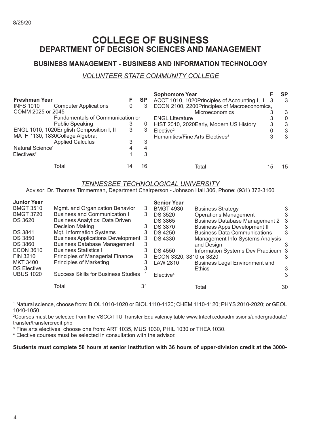### **COLLEGE OF BUSINESS DEPARTMENT OF DECISION SCIENCES AND MANAGEMENT**

#### **BUSINESS MANAGEMENT - BUSINESS AND INFORMATION TECHNOLOGY**

#### *VOLUNTEER STATE COMMUNITY COLLEGE*

|                                          |                                  |   |           | <b>Sophomore Year</b>                           | SP       |
|------------------------------------------|----------------------------------|---|-----------|-------------------------------------------------|----------|
| <b>Freshman Year</b>                     |                                  |   | <b>SP</b> | ACCT 1010, 1020Principles of Accounting I, II 3 | 3        |
| <b>INFS 1010</b>                         | <b>Computer Applications</b>     | 0 | 3         | ECON 2100, 2200Principles of Macroeconomics,    |          |
| COMM 2025 or 2045                        |                                  |   |           | Microeconomics                                  | 3        |
|                                          | Fundamentals of Communication or |   |           | <b>ENGL Literature</b>                          | $\Omega$ |
|                                          | <b>Public Speaking</b>           | 3 | U         | HIST 2010, 2020 Early, Modern US History        |          |
| ENGL 1010, 1020English Composition I, II |                                  | 3 | 3         | Elective <sup>2</sup>                           | 3        |
| MATH 1130, 1830College Algebra;          |                                  |   |           | Humanities/Fine Arts Electives <sup>3</sup>     | 3        |
|                                          | <b>Applied Calculus</b>          |   | 3         |                                                 |          |
| Natural Science <sup>1</sup>             |                                  |   |           |                                                 |          |
| Electives <sup>2</sup>                   |                                  |   | 3         |                                                 |          |
| Total                                    |                                  |   | 16        | Total                                           | 15       |

#### *TENNESSEE TECHNOLOGICAL UNIVERSITY*

Advisor: Dr. Thomas Timmerman, Department Chairperson - Johnson Hall 306, Phone: (931) 372-3160

| <b>Junior Year</b> |                                            |    | <b>Senior Year</b>       |                                       |    |
|--------------------|--------------------------------------------|----|--------------------------|---------------------------------------|----|
| <b>BMGT 3510</b>   | Mgmt. and Organization Behavior            | 3  | <b>BMGT 4930</b>         | <b>Business Strategy</b>              | 3  |
| <b>BMGT 3720</b>   | <b>Business and Communication I</b>        | 3  | <b>DS 3520</b>           | <b>Operations Management</b>          | 3  |
| <b>DS 3620</b>     | <b>Business Analytics: Data Driven</b>     |    | <b>DS 3865</b>           | <b>Business Database Management 2</b> | -3 |
|                    | Decision Making                            | 3  | <b>DS 3870</b>           | <b>Business Apps Development II</b>   | 3  |
| <b>DS 3841</b>     | Mgt. Information Systems                   | 3  | <b>DS 4250</b>           | <b>Business Data Communications</b>   | 3  |
| <b>DS 3850</b>     | <b>Business Applications Development 3</b> |    | <b>DS 4330</b>           | Management Info Systems Analysis      |    |
| <b>DS 3860</b>     | <b>Business Database Management</b>        | 3  |                          | and Design                            | 3  |
| <b>ECON 3610</b>   | <b>Business Statistics I</b>               | 3  | <b>DS 4550</b>           | Information Systems Dev Practicum 3   |    |
| FIN 3210           | Principles of Managerial Finance           | 3  | ECON 3320, 3810 or 3820  |                                       | 3  |
| <b>MKT 3400</b>    | <b>Principles of Marketing</b>             | 3  | LAW 2810                 | <b>Business Legal Environment and</b> |    |
| <b>DS Elective</b> |                                            |    |                          | <b>Ethics</b>                         | 3  |
| <b>UBUS 1020</b>   | <b>Success Skills for Business Studies</b> |    | $E$ lective <sup>4</sup> |                                       | 3  |
|                    | Total                                      | 31 |                          | Total                                 | 30 |

<sup>1</sup> Natural science, choose from: BIOL 1010-1020 or BIOL 1110-1120; CHEM 1110-1120; PHYS 2010-2020; or GEOL 1040-1050.

2 Courses must be selected from the VSCC/TTU Transfer Equivalency table www.tntech.edu/admissions/undergraduate/ transfer/transfercredit.php

3 Fine arts electives, choose one from: ART 1035, MUS 1030, PHIL 1030 or THEA 1030.

<sup>4</sup> Elective courses must be selected in consultation with the advisor.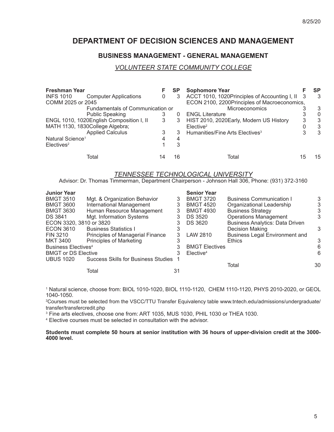### **DEPARTMENT OF DECISION SCIENCES AND MANAGEMENT**

#### **BUSINESS MANAGEMENT - GENERAL MANAGEMENT**

#### *VOLUNTEER STATE COMMUNITY COLLEGE*

| <b>Freshman Year</b>            |                                          |   | <b>SP</b> | <b>Sophomore Year</b>                           |   | SP       |
|---------------------------------|------------------------------------------|---|-----------|-------------------------------------------------|---|----------|
| <b>INFS 1010</b>                | <b>Computer Applications</b>             | 0 |           | ACCT 1010, 1020Principles of Accounting I, II 3 |   | 3        |
| COMM 2025 or 2045               |                                          |   |           | ECON 2100, 2200Principles of Macroeconomics,    |   |          |
|                                 | Fundamentals of Communication or         |   |           | Microeconomics                                  |   | 3        |
|                                 | <b>Public Speaking</b>                   |   |           | <b>ENGL Literature</b>                          |   | $\Omega$ |
|                                 | ENGL 1010, 1020English Composition I, II | 3 | 3         | HIST 2010, 2020Early, Modern US History         | 3 | 3        |
| MATH 1130, 1830College Algebra; |                                          |   |           | Elective <sup>2</sup>                           |   | 3        |
|                                 | <b>Applied Calculus</b>                  |   |           | Humanities/Fine Arts Electives <sup>3</sup>     | 3 | 3        |
| Natural Science <sup>1</sup>    |                                          |   | 4         |                                                 |   |          |
| Electives <sup>2</sup>          |                                          |   | 3         |                                                 |   |          |
| Total                           |                                          |   | 16        | Total                                           |   | 15       |

#### *TENNESSEE TECHNOLOGICAL UNIVERSITY*

Advisor: Dr. Thomas Timmerman, Department Chairperson - Johnson Hall 306, Phone: (931) 372-3160

|                                  |                                                                                                | <b>Senior Year</b>                         |                                        |    |
|----------------------------------|------------------------------------------------------------------------------------------------|--------------------------------------------|----------------------------------------|----|
| Mgt. & Organization Behavior     | 3                                                                                              | <b>BMGT 3720</b>                           | <b>Business Communication I</b>        | 3  |
| International Management         | 3                                                                                              | <b>BMGT 4520</b>                           | Organizational Leadership              | 3  |
| Human Resource Management        | 3                                                                                              | <b>BMGT 4930</b>                           | <b>Business Strategy</b>               |    |
| Mgt. Information Systems         |                                                                                                | DS 3520                                    | <b>Operations Management</b>           | 3  |
|                                  | 3                                                                                              | DS 3620                                    | <b>Business Analytics: Data Driven</b> |    |
| <b>Business Statistics I</b>     |                                                                                                |                                            | Decision Making                        | 3  |
| Principles of Managerial Finance | 3                                                                                              | LAW 2810                                   | <b>Business Legal Environment and</b>  |    |
| <b>Principles of Marketing</b>   |                                                                                                |                                            | <b>Ethics</b>                          | 3  |
|                                  |                                                                                                |                                            |                                        | 6  |
|                                  |                                                                                                | Elective <sup>4</sup>                      |                                        | 6  |
|                                  |                                                                                                |                                            |                                        |    |
|                                  |                                                                                                |                                            | Total                                  | 30 |
| Total                            | 31                                                                                             |                                            |                                        |    |
|                                  | ECON 3320, 3810 or 3820<br><b>Business Electives<sup>4</sup></b><br><b>BMGT or DS Elective</b> | <b>Success Skills for Business Studies</b> | <b>BMGT Electives</b>                  |    |

<sup>1</sup> Natural science, choose from: BIOL 1010-1020, BIOL 1110-1120, CHEM 1110-1120, PHYS 2010-2020, or GEOL 1040-1050.

2 Courses must be selected from the VSCC/TTU Transfer Equivalency table www.tntech.edu/admissions/undergraduate/ transfer/transfercredit.php

3 Fine arts electives, choose one from: ART 1035, MUS 1030, PHIL 1030 or THEA 1030.

<sup>4</sup> Elective courses must be selected in consultation with the advisor.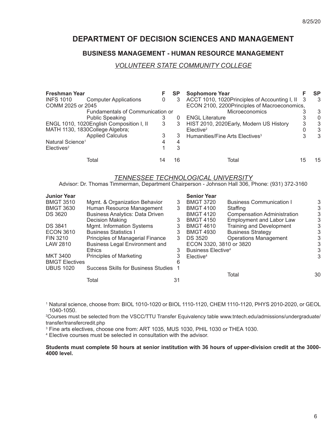### **DEPARTMENT OF DECISION SCIENCES AND MANAGEMENT**

#### **BUSINESS MANAGEMENT - HUMAN RESOURCE MANAGEMENT**

#### *VOLUNTEER STATE COMMUNITY COLLEGE*

| <b>Freshman Year</b>         |                                          | F | <b>SP</b>    | <b>Sophomore Year</b>                         |    | <b>SP</b> |
|------------------------------|------------------------------------------|---|--------------|-----------------------------------------------|----|-----------|
| <b>INFS 1010</b>             | <b>Computer Applications</b>             | 0 | 3            | ACCT 1010, 1020Principles of Accounting I, II |    | -3        |
| COMM 2025 or 2045            |                                          |   |              | ECON 2100, 2200Principles of Macroeconomics,  |    |           |
|                              | Fundamentals of Communication or         |   |              | <b>Microeconomics</b>                         |    | 3         |
|                              | <b>Public Speaking</b>                   |   | $\mathbf{O}$ | <b>ENGL Literature</b>                        |    | $\theta$  |
|                              | ENGL 1010, 1020English Composition I, II | 3 | 3            | HIST 2010, 2020 Early, Modern US History      | 3  | 3         |
|                              | MATH 1130, 1830College Algebra;          |   |              | Elective <sup>2</sup>                         |    | 3         |
|                              | <b>Applied Calculus</b>                  |   | 3            | Humanities/Fine Arts Electives <sup>3</sup>   | 3  | 3         |
| Natural Science <sup>1</sup> |                                          |   | 4            |                                               |    |           |
| Electives <sup>2</sup>       |                                          |   | 3            |                                               |    |           |
|                              | Total                                    |   | 16           | Total                                         | 15 | 15        |

#### *TENNESSEE TECHNOLOGICAL UNIVERSITY*

Advisor: Dr. Thomas Timmerman, Department Chairperson - Johnson Hall 306, Phone: (931) 372-3160

| <b>Junior Year</b>    |                                            |    | <b>Senior Year</b>                   |                                    |    |
|-----------------------|--------------------------------------------|----|--------------------------------------|------------------------------------|----|
| <b>BMGT 3510</b>      | Mgmt. & Organization Behavior              | 3  | <b>BMGT 3720</b>                     | <b>Business Communication I</b>    | 3  |
| <b>BMGT 3630</b>      | Human Resource Management                  | 3  | <b>BMGT 4100</b>                     | Staffing                           | 3  |
| <b>DS 3620</b>        | <b>Business Analytics: Data Driven</b>     |    | <b>BMGT 4120</b>                     | <b>Compensation Administration</b> | 3  |
|                       | Decision Making                            | 3  | <b>BMGT 4150</b>                     | <b>Employment and Labor Law</b>    | 3  |
| <b>DS 3841</b>        | Mgmt. Information Systems                  | 3  | <b>BMGT 4610</b>                     | <b>Training and Development</b>    | 3  |
| <b>ECON 3610</b>      | <b>Business Statistics I</b>               | 3  | <b>BMGT 4930</b>                     | <b>Business Strategy</b>           | 3  |
| FIN 3210              | Principles of Managerial Finance           | 3  | DS 3520                              | <b>Operations Management</b>       | 3  |
| LAW 2810              | <b>Business Legal Environment and</b>      |    | ECON 3320, 3810 or 3820              |                                    | 3  |
|                       | <b>Ethics</b>                              | 3  | <b>Business Elective<sup>4</sup></b> |                                    | 3  |
| <b>MKT 3400</b>       | <b>Principles of Marketing</b>             | 3  | Elective <sup>4</sup>                |                                    | 3  |
| <b>BMGT Electives</b> |                                            |    |                                      |                                    |    |
| <b>UBUS 1020</b>      | <b>Success Skills for Business Studies</b> |    |                                      |                                    |    |
|                       |                                            |    |                                      | Total                              | 30 |
|                       | Total                                      | 31 |                                      |                                    |    |

<sup>1</sup> Natural science, choose from: BIOL 1010-1020 or BIOL 1110-1120, CHEM 1110-1120, PHYS 2010-2020, or GEOL 1040-1050.

2 Courses must be selected from the VSCC/TTU Transfer Equivalency table www.tntech.edu/admissions/undergraduate/ transfer/transfercredit.php

3 Fine arts electives, choose one from: ART 1035, MUS 1030, PHIL 1030 or THEA 1030.

<sup>4</sup> Elective courses must be selected in consultation with the advisor.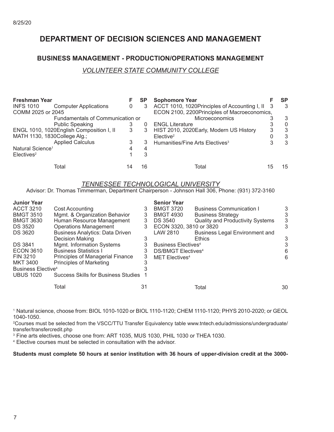### **DEPARTMENT OF DECISION SCIENCES AND MANAGEMENT**

#### **BUSINESS MANAGEMENT - PRODUCTION/OPERATIONS MANAGEMENT**

#### *VOLUNTEER STATE COMMUNITY COLLEGE*

| <b>Freshman Year</b>         |                                          |   | <b>SP</b> | <b>Sophomore Year</b>                         |   | SP       |
|------------------------------|------------------------------------------|---|-----------|-----------------------------------------------|---|----------|
| <b>INFS 1010</b>             | <b>Computer Applications</b>             | 0 | 3         | ACCT 1010, 1020Principles of Accounting I, II |   | 3        |
| COMM 2025 or 2045            |                                          |   |           | ECON 2100, 2200Principles of Macroeconomics,  |   |          |
|                              | Fundamentals of Communication or         |   |           | Microeconomics                                |   | 3        |
|                              | <b>Public Speaking</b>                   |   |           | <b>ENGL Literature</b>                        |   | $\Omega$ |
|                              | ENGL 1010, 1020English Composition I, II | 3 |           | HIST 2010, 2020Early, Modern US History       | 3 | 3        |
| MATH 1130, 1830College Alg.; |                                          |   |           | $E$ lective <sup>2</sup>                      |   | 3        |
|                              | <b>Applied Calculus</b>                  |   | 3         | Humanities/Fine Arts Electives <sup>3</sup>   |   | 3        |
| Natural Science <sup>1</sup> |                                          |   | 4         |                                               |   |          |
| Electives <sup>2</sup>       |                                          |   |           |                                               |   |          |
|                              | Total                                    |   | 16        | Total                                         |   | 15       |

#### *TENNESSEE TECHNOLOGICAL UNIVERSITY*

Advisor: Dr. Thomas Timmerman, Department Chairperson - Johnson Hall 306, Phone: (931) 372-3160

| <b>Junior Year</b>             |                                            |    | <b>Senior Year</b>                   |                                         |    |
|--------------------------------|--------------------------------------------|----|--------------------------------------|-----------------------------------------|----|
| <b>ACCT 3210</b>               | Cost Accounting                            | 3  | <b>BMGT 3720</b>                     | <b>Business Communication I</b>         | 3  |
| <b>BMGT 3510</b>               | Mgmt. & Organization Behavior              | 3  | <b>BMGT 4930</b>                     | <b>Business Strategy</b>                | 3  |
| <b>BMGT 3630</b>               | Human Resource Management                  | 3  | DS 3540                              | <b>Quality and Productivity Systems</b> | 3  |
| <b>DS 3520</b>                 | <b>Operations Management</b>               | 3  | ECON 3320, 3810 or 3820              |                                         | 3  |
| <b>DS 3620</b>                 | <b>Business Analytics: Data Driven</b>     |    | LAW 2810                             | <b>Business Legal Environment and</b>   |    |
|                                | Decision Making                            |    |                                      | <b>Ethics</b>                           | 3  |
| <b>DS 3841</b>                 | Mgmt. Information Systems                  | 3  | Business Electives <sup>4</sup>      |                                         | 3  |
| <b>ECON 3610</b>               | <b>Business Statistics I</b>               | 3  | <b>DS/BMGT Electives<sup>4</sup></b> |                                         | 6  |
| FIN 3210                       | Principles of Managerial Finance           | 3  | <b>MET Electives4</b>                |                                         | 6  |
| <b>MKT 3400</b>                | <b>Principles of Marketing</b>             |    |                                      |                                         |    |
| Business Elective <sup>4</sup> |                                            |    |                                      |                                         |    |
| <b>UBUS 1020</b>               | <b>Success Skills for Business Studies</b> |    |                                      |                                         |    |
|                                | Total                                      | 31 |                                      | Total                                   | 30 |
|                                |                                            |    |                                      |                                         |    |

<sup>1</sup> Natural science, choose from: BIOL 1010-1020 or BIOL 1110-1120; CHEM 1110-1120; PHYS 2010-2020; or GEOL 1040-1050.

2 Courses must be selected from the VSCC/TTU Transfer Equivalency table www.tntech.edu/admissions/undergraduate/ transfer/transfercredit.php

3 Fine arts electives, choose one from: ART 1035, MUS 1030, PHIL 1030 or THEA 1030.

<sup>4</sup> Elective courses must be selected in consultation with the advisor.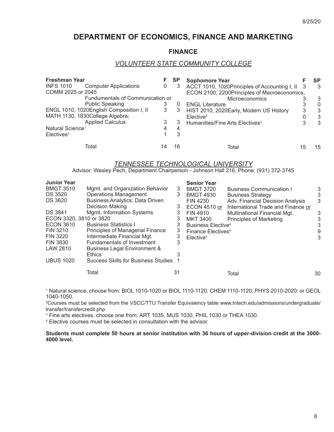### **DEPARTMENT OF ECONOMICS, FINANCE AND MARKETING**

#### **FINANCE**

#### *VOLUNTEER STATE COMMUNITY COLLEGE*

| <b>Freshman Year</b>                             |    | <b>SP</b> | <b>Sophomore Year</b>                           |    | SP |
|--------------------------------------------------|----|-----------|-------------------------------------------------|----|----|
| <b>INFS 1010</b><br><b>Computer Applications</b> | 0  | 3         | ACCT 1010, 1020Principles of Accounting I, II 3 |    | -3 |
| COMM 2025 or 2045                                |    |           | ECON 2100, 2200Principles of Macroeconomics,    |    |    |
| Fundumentals of Communication or                 |    |           | <b>Microeconomics</b>                           |    | 3  |
| <b>Public Speaking</b>                           | 3  |           | <b>ENGL Literature</b>                          |    | 0  |
| ENGL 1010, 1020English Composition I, II         | 3  | 3         | HIST 2010, 2020 Early, Modern US History        | 3  | 3  |
| MATH 1130, 1830College Algebra;                  |    |           | Elective <sup>2</sup>                           |    | 3  |
| <b>Applied Calculus</b>                          | 3  |           | Humanities/Fine Arts Electives <sup>3</sup>     | 3  | 3  |
| Natural Science <sup>1</sup>                     |    | 4         |                                                 |    |    |
| Electives <sup>2</sup>                           |    | 3         |                                                 |    |    |
| Total                                            | 14 | 16        | Total                                           | 15 | 15 |

#### *TENNESSEE TECHNOLOGICAL UNIVERSITY*

Advisor: Wesley Pech, Department Chairperson - Johnson Hall 216, Phone: (931) 372-3745

| <b>Junior Year</b>      |                                            |    | <b>Senior Year</b>             |                                    |    |
|-------------------------|--------------------------------------------|----|--------------------------------|------------------------------------|----|
| <b>BMGT 3510</b>        | Mgmt. and Organization Behavior            | 3  | <b>BMGT 3720</b>               | <b>Business Communication I</b>    | 3  |
| <b>DS 3520</b>          | <b>Operations Management</b>               | 3  | <b>BMGT 4930</b>               | <b>Business Strategy</b>           | 3  |
| <b>DS 3620</b>          | <b>Business Analytics: Data Driven</b>     |    | <b>FIN 4230</b>                | Adv. Financial Decision Analysis   | 3  |
|                         | <b>Decision Making</b>                     | 3  | ECON 4510 or                   | International Trade and Finance or |    |
| <b>DS 3841</b>          | Mgmt. Information Systems                  | 3  | FIN 4910                       | Multinational Financial Mgt.       | 3  |
| ECON 3320, 3810 or 3820 |                                            | 3  | MKT 3400                       | <b>Principles of Marketing</b>     | 3  |
| <b>ECON 3610</b>        | <b>Business Statistics I</b>               | 3  | Business Elective <sup>4</sup> |                                    | 3  |
| FIN 3210                | Principles of Managerial Finance           | 3  | Finance Electives <sup>4</sup> |                                    | 9  |
| <b>FIN 3220</b>         | Intermediate Financial Mgt.                | 3  | Elective <sup>4</sup>          |                                    | 3  |
| <b>FIN 3830</b>         | Fundamentals of Investment                 | 3  |                                |                                    |    |
| LAW 2810                | <b>Business Legal Environment &amp;</b>    |    |                                |                                    |    |
|                         | <b>Ethics</b>                              |    |                                |                                    |    |
| <b>UBUS 1020</b>        | <b>Success Skills for Business Studies</b> |    |                                |                                    |    |
|                         | Total                                      | 31 |                                | Total                              | 30 |

<sup>1</sup> Natural science, choose from: BIOL 1010-1020 or BIOL 1110-1120; CHEM 1110-1120; PHYS 2010-2020: or GEOL 1040-1050.

2 Courses must be selected from the VSCC/TTU Transfer Equivalency table www.tntech.edu/admissions/undergraduate/ transfer/transfercredit.php

3 Fine arts electives, choose one from: ART 1035, MUS 1030, PHIL 1030 or THEA 1030.

<sup>4</sup> Elective courses must be selected in consultation with the advisor.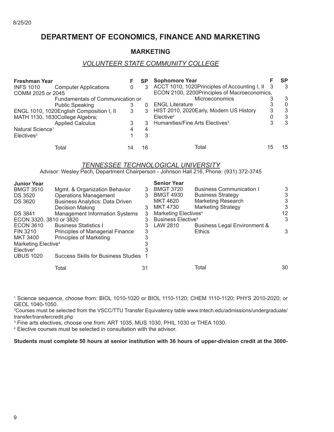### **DEPARTMENT OF ECONOMICS, FINANCE AND MARKETING**

#### **MARKETING**

#### *VOLUNTEER STATE COMMUNITY COLLEGE*

| <b>Freshman Year</b>         |                                          |   | <b>SP</b> | <b>Sophomore Year</b>                           |    | SP           |
|------------------------------|------------------------------------------|---|-----------|-------------------------------------------------|----|--------------|
| <b>INFS 1010</b>             | <b>Computer Applications</b>             | 0 | 3         | ACCT 1010, 1020Principles of Accounting I, II 3 |    | 3            |
| COMM 2025 or 2045            |                                          |   |           | ECON 2100, 2200Principles of Macroeconomics,    |    |              |
|                              | Fundamentals of Communication or         |   |           | Microeconomics                                  |    | 3            |
|                              | <b>Public Speaking</b>                   |   |           | <b>ENGL Literature</b>                          |    | $\mathbf{0}$ |
|                              | ENGL 1010, 1020English Composition I, II | 3 | 3         | HIST 2010, 2020 Early, Modern US History        | 3  | 3            |
|                              | MATH 1130, 1830College Algebra;          |   |           | Elective <sup>2</sup>                           |    | 3            |
|                              | <b>Applied Calculus</b>                  | 3 | 3         | Humanities/Fine Arts Electives <sup>3</sup>     |    | 3            |
| Natural Science <sup>1</sup> |                                          |   |           |                                                 |    |              |
| Electives <sup>2</sup>       |                                          |   | 3         |                                                 |    |              |
|                              | Total                                    |   | 16        | Total                                           | 15 | 15           |

#### *TENNESSEE TECHNOLOGICAL UNIVERSITY*

Advisor: Wesley Pech, Department Chairperson - Johnson Hall 216, Phone: (931) 372-3745

|                                        |                                                               | <b>Senior Year</b>                         |                                 |                                                                          |
|----------------------------------------|---------------------------------------------------------------|--------------------------------------------|---------------------------------|--------------------------------------------------------------------------|
|                                        | 3                                                             | <b>BMGT 3720</b>                           | <b>Business Communication I</b> | 3                                                                        |
|                                        | 3                                                             | <b>BMGT 4930</b>                           | <b>Business Strategy</b>        | 3                                                                        |
| <b>Business Analytics: Data Driven</b> |                                                               | MKT 4620                                   | <b>Marketing Research</b>       | 3                                                                        |
| Decision Making                        | 3                                                             | <b>MKT 4730</b>                            | <b>Marketing Strategy</b>       | 3                                                                        |
| <b>Management Information Systems</b>  | 3                                                             |                                            |                                 | 12                                                                       |
| ECON 3320, 3810 or 3820                | 3                                                             |                                            |                                 | 3                                                                        |
| <b>Business Statistics I</b>           |                                                               | LAW 2810                                   | Business Legal Environment &    |                                                                          |
| Principles of Managerial Finance       | 3                                                             |                                            | <b>Ethics</b>                   | 3                                                                        |
| <b>Principles of Marketing</b>         | 3                                                             |                                            |                                 |                                                                          |
| Marketing Elective <sup>4</sup>        |                                                               |                                            |                                 |                                                                          |
|                                        |                                                               |                                            |                                 |                                                                          |
|                                        |                                                               |                                            |                                 |                                                                          |
| Total                                  | 31                                                            |                                            | Total                           | 30                                                                       |
|                                        | Mgmt. & Organization Behavior<br><b>Operations Management</b> | <b>Success Skills for Business Studies</b> |                                 | Marketing Electives <sup>4</sup><br><b>Business Elective<sup>4</sup></b> |

<sup>1</sup> Science sequence, choose from: BIOL 1010-1020 or BIOL 1110-1120; CHEM 1110-1120; PHYS 2010-2020; or GEOL 1040-1050.

2 Courses must be selected from the VSCC/TTU Transfer Equivalency table www.tntech.edu/admissions/undergraduate/ transfer/transfercredit.php

3 Fine arts electives, choose one from: ART 1035, MUS 1030, PHIL 1030 or THEA 1030.

4 Elective courses must be selected in consultation with the advisor.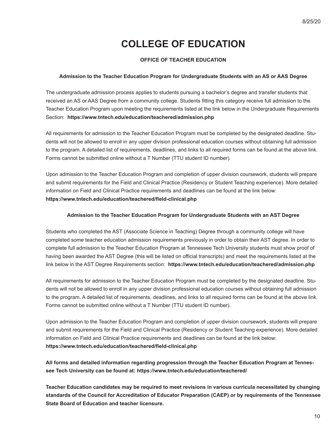# **COLLEGE OF EDUCATION**

#### **OFFICE OF TEACHER EDUCATION**

#### **Admission to the Teacher Education Program for Undergraduate Students with an AS or AAS Degree**

The undergraduate admission process applies to students pursuing a bachelor's degree and transfer students that received an AS or AAS Degree from a community college. Students fitting this category receive full admission to the Teacher Education Program upon meeting the requirements listed at the link below in the Undergraduate Requirements Section: **https://www.tntech.edu/education/teachered/admission.php**

All requirements for admission to the Teacher Education Program must be completed by the designated deadline. Students will not be allowed to enroll in any upper division professional education courses without obtaining full admission to the program. A detailed list of requirements, deadlines, and links to all required forms can be found at the above link. Forms cannot be submitted online without a T Number (TTU student ID number).

Upon admission to the Teacher Education Program and completion of upper division coursework, students will prepare and submit requirements for the Field and Clinical Practice (Residency or Student Teaching experience). More detailed information on Field and Clinical Practice requirements and deadlines can be found at the link below: **https://www.tntech.edu/education/teachered/fi eld-clinical.php**

#### **Admission to the Teacher Education Program for Undergraduate Students with an AST Degree**

Students who completed the AST (Associate Science in Teaching) Degree through a community college will have completed some teacher education admission requirements previously in order to obtain their AST degree. In order to complete full admission to the Teacher Education Program at Tennessee Tech University students must show proof of having been awarded the AST Degree (this will be listed on official transcripts) and meet the requirements listed at the link below in the AST Degree Requirements section: **https://www.tntech.edu/education/teachered/admission.php**

All requirements for admission to the Teacher Education Program must be completed by the designated deadline. Students will not be allowed to enroll in any upper division professional education courses without obtaining full admission to the program. A detailed list of requirements, deadlines, and links to all required forms can be found at the above link. Forms cannot be submitted online without a T Number (TTU student ID number).

Upon admission to the Teacher Education Program and completion of upper division coursework, students will prepare and submit requirements for the Field and Clinical Practice (Residency or Student Teaching experience). More detailed information on Field and Clinical Practice requirements and deadlines can be found at the link below: **https://www.tntech.edu/education/teachered/fi eld-clinical.php**

**All forms and detailed information regarding progression through the Teacher Education Program at Tennessee Tech University can be found at: https://www.tntech.edu/education/teachered/** 

**Teacher Education candidates may be required to meet revisions in various curricula necessitated by changing standards of the Council for Accreditation of Educator Preparation (CAEP) or by requirements of the Tennessee State Board of Education and teacher licensure.**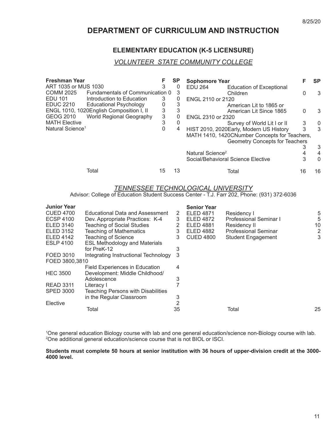### **DEPARTMENT OF CURRICULUM AND INSTRUCTION**

#### **ELEMENTARY EDUCATION (K-5 LICENSURE)**

#### *VOLUNTEER STATE COMMUNITY COLLEGE*

| Freshman Year                                     |    | <b>SP</b> | <b>Sophomore Year</b>                         |    | <b>SP</b> |
|---------------------------------------------------|----|-----------|-----------------------------------------------|----|-----------|
| ART 1035 or MUS 1030                              | 3  | $\theta$  | EDU 264<br><b>Education of Exceptional</b>    |    |           |
| COMM 2025<br>Fundamentals of Communication 0      |    | 3         | Children                                      | 0  | 3         |
| EDU 101<br>Introduction to Education              | 3  | 0         | ENGL 2110 or 2120                             |    |           |
| <b>EDUC 2210</b><br><b>Educational Psychology</b> | 0  | 3         | American Lit to 1865 or                       |    |           |
| ENGL 1010, 1020English Composition I, II          | 3  | 3         | American Lit Since 1865                       | 0  | 3         |
| World Regional Geography<br>GEOG 2010             | 3  | 0         | ENGL 2310 or 2320                             |    |           |
| <b>MATH Elective</b>                              | 3  | 0         | Survey of World Lit I or II                   | 3  | 0         |
| Natural Science <sup>1</sup>                      | 0  | 4         | HIST 2010, 2020Early, Modern US History       | 3  | 3         |
|                                                   |    |           | MATH 1410, 1420CNumber Concepts for Teachers, |    |           |
|                                                   |    |           | Geometry Concepts for Teachers                |    |           |
|                                                   |    |           |                                               |    | 3         |
|                                                   |    |           | Natural Science <sup>2</sup>                  |    | 4         |
|                                                   |    |           | Social/Behavioral Science Elective            | 3  | $\Omega$  |
| Total                                             | 15 | 13        | Total                                         | 16 | 16        |

#### *TENNESSEE TECHNOLOGICAL UNIVERSITY*

Advisor: College of Education Student Success Center - T.J. Farr 202, Phone: (931) 372-6036

| <b>Junior Year</b> |                                           |    | <b>Senior Year</b> |                               |    |
|--------------------|-------------------------------------------|----|--------------------|-------------------------------|----|
| <b>CUED 4700</b>   | Educational Data and Assessment           | 2  | <b>ELED 4871</b>   | Residency I                   | 5  |
| <b>ECSP 4100</b>   | Dev. Appropriate Practices: K-4           | 3  | <b>ELED 4872</b>   | <b>Professional Seminar I</b> | 5  |
| <b>ELED 3140</b>   | <b>Teaching of Social Studies</b>         | 2  | <b>ELED 4881</b>   | Residency II                  | 10 |
| ELED 3152          | <b>Teaching of Mathematics</b>            | 3  | <b>ELED 4882</b>   | <b>Professional Seminar</b>   | 2  |
| <b>ELED 4142</b>   | <b>Teaching of Science</b>                | 3  | <b>CUED 4800</b>   | <b>Student Engagement</b>     | 3  |
| <b>ESLP 4100</b>   | <b>ESL Methodology and Materials</b>      |    |                    |                               |    |
|                    | for PreK-12                               | 3  |                    |                               |    |
| FOED 3010          | Integrating Instructional Technology      | 3  |                    |                               |    |
| FOED 3800,3810     |                                           |    |                    |                               |    |
|                    | <b>Field Experiences in Education</b>     | 4  |                    |                               |    |
| <b>HEC 3500</b>    | Development: Middle Childhood/            |    |                    |                               |    |
|                    | Adolescence                               | 3  |                    |                               |    |
| <b>READ 3311</b>   | Literacy I                                |    |                    |                               |    |
| <b>SPED 3000</b>   | <b>Teaching Persons with Disabilities</b> |    |                    |                               |    |
|                    | in the Regular Classroom                  | 3  |                    |                               |    |
| Elective           |                                           | 2  |                    |                               |    |
|                    | Total                                     | 35 |                    | Total                         | 25 |

1 One general education Biology course with lab and one general education/science non-Biology course with lab. 2 One additional general education/science course that is not BIOL or ISCI.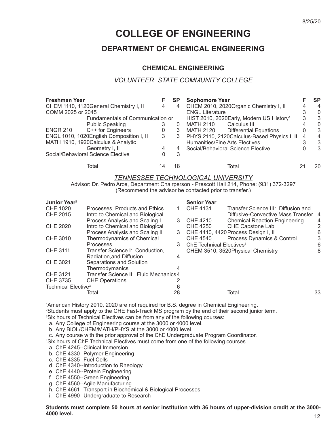# **COLLEGE OF ENGINEERING**

### **DEPARTMENT OF CHEMICAL ENGINEERING**

#### **CHEMICAL ENGINEERING**

#### *VOLUNTEER STATE COMMUNITY COLLEGE*

| <b>Freshman Year</b> |                                          |   | <b>SP</b> | <b>Sophomore Year</b>                                |   | SP       |
|----------------------|------------------------------------------|---|-----------|------------------------------------------------------|---|----------|
|                      | CHEM 1110, 1120General Chemistry I, II   | 4 | 4         | CHEM 2010, 2020Organic Chemistry I, II               |   | 4        |
| COMM 2025 or 2045    |                                          |   |           | <b>ENGL Literature</b>                               |   | $\theta$ |
|                      | Fundamentals of Communication or         |   |           | HIST 2010, 2020Early, Modern US History <sup>1</sup> | 3 | -3       |
|                      | <b>Public Speaking</b>                   |   |           | Calculus III<br><b>MATH 2110</b>                     |   | $\Omega$ |
| <b>ENGR 210</b>      | C++ for Engineers                        | 0 | 3         | <b>Differential Equations</b><br>MATH 2120           |   | 3        |
|                      | ENGL 1010, 1020English Composition I, II | 3 | 3         | PHYS 2110, 2120 Calculus-Based Physics I, II         | 4 | 4        |
|                      | MATH 1910, 1920 Calculus & Analytic      |   |           | <b>Humanities/Fine Arts Electives</b>                |   | 3        |
|                      | Geometry I, II                           | 4 | 4         | Social/Behavioral Science Elective                   |   | 3        |
|                      | Social/Behavioral Science Elective       |   | 3         |                                                      |   |          |
|                      | Total                                    |   | 18        | Total                                                |   | 20       |

#### *TENNESSEE TECHNOLOGICAL UNIVERSITY*

Advisor: Dr. Pedro Arce, Department Chairperson - Prescott Hall 214, Phone: (931) 372-3297 (Recommend the advisor be contacted prior to transfer.)

| Junior Year <sup>2</sup>        |                                        |    | <b>Senior Year</b>                   |                                      |    |
|---------------------------------|----------------------------------------|----|--------------------------------------|--------------------------------------|----|
| CHE 1020                        | Processes, Products and Ethics         | 1. | <b>CHE 4131</b>                      | Transfer Science III: Diffusion and  |    |
| <b>CHE 2015</b>                 | Intro to Chemical and Biological       |    |                                      | Diffusive-Convective Mass Transfer 4 |    |
|                                 | Process Analysis and Scaling I         | 3  | <b>CHE 4210</b>                      | <b>Chemical Reaction Engineering</b> | 4  |
| <b>CHE 2020</b>                 | Intro to Chemical and Biological       |    | <b>CHE 4250</b>                      | <b>CHE Capstone Lab</b>              | 2  |
|                                 | Process Analysis and Scaling II        | 3  |                                      | CHE 4410, 4420 Process Design I, II  | 6  |
| CHE 3010                        | Thermodynamics of Chemical             |    | <b>CHE 4540</b>                      | Process Dynamics & Control           | 3  |
|                                 | <b>Processes</b>                       | 3  | ChE Technical Electives <sup>4</sup> |                                      | 6  |
| <b>CHE 3111</b>                 | Transfer Science I: Conduction,        |    |                                      | CHEM 3510, 3520Physical Chemistry    | 8  |
|                                 | Radiation, and Diffusion               | 4  |                                      |                                      |    |
| CHE 3021                        | Separations and Solution               |    |                                      |                                      |    |
|                                 | Thermodymanics                         |    |                                      |                                      |    |
| <b>CHE 3121</b>                 | Transfer Science II: Fluid Mechanics 4 |    |                                      |                                      |    |
| CHE 3735                        | <b>CHE Operations</b>                  |    |                                      |                                      |    |
| Technical Elective <sup>3</sup> |                                        | 6  |                                      |                                      |    |
|                                 | Total                                  | 28 |                                      | Total                                | 33 |
|                                 |                                        |    |                                      |                                      |    |

1 American History 2010, 2020 are not required for B.S. degree in Chemical Engineering. 2 Students must apply to the CHE Fast-Track MS program by the end of their second junior term. <sup>3</sup>Six hours of Technical Electives can be from any of the following courses:

a. Any College of Engineering course at the 3000 or 4000 level.

b. Any BIOL/CHEM/MATH/PHYS at the 3000 or 4000 level.

c. Any course with the prior approval of the ChE Undergraduate Program Coordinator.

4 Six hours of ChE Technical Electives must come from one of the following courses.

a. ChE 4245--Clinical Immersion

b. ChE 4330--Polymer Engineering

c. ChE 4335--Fuel Cells

d. ChE 4340--Introduction to Rheology

e. ChE 4440--Protein Engineering

f. ChE 4550--Green Engineering

g. ChE 4560--Agile Manufacturing

h. ChE 4661--Transport in Biochemical & Biological Processes

i. ChE 4990--Undergraduate to Research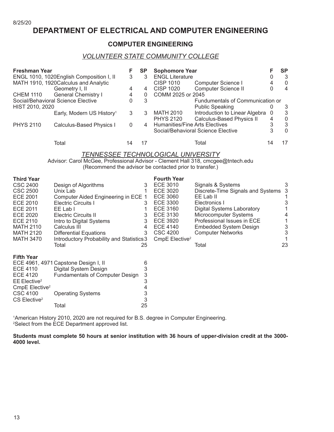### **DEPARTMENT OF ELECTRICAL AND COMPUTER ENGINEERING**

#### **COMPUTER ENGINEERING**

#### *VOLUNTEER STATE COMMUNITY COLLEGE*

| <b>Freshman Year</b>               |                                          |   | <b>SP</b>      | <b>Sophomore Year</b>                              |                          | SP       |
|------------------------------------|------------------------------------------|---|----------------|----------------------------------------------------|--------------------------|----------|
|                                    | ENGL 1010, 1020English Composition I, II | 3 | 3              | <b>ENGL Literature</b>                             |                          | 3        |
|                                    | MATH 1910, 1920Calculus and Analytic     |   |                | Computer Science I<br><b>CISP 1010</b>             | 4                        | 0        |
|                                    | Geometry I, II                           | 4 | 4              | Computer Science II<br><b>CISP 1020</b>            |                          | 4        |
| <b>CHEM 1110</b>                   | <b>General Chemistry I</b>               | 4 | 0              | COMM 2025 or 2045                                  |                          |          |
| Social/Behavioral Science Elective |                                          | 0 | 3              | Fundumentals of Communication or                   |                          |          |
| HIST 2010, 2020                    |                                          |   |                | <b>Public Speaking</b>                             |                          | 3        |
|                                    | Early, Modern US History <sup>1</sup>    | 3 | 3              | Introduction to Linear Algebra<br><b>MATH 2010</b> | $\overline{\phantom{0}}$ | 3        |
|                                    |                                          |   |                | Calculus-Based Physics II<br><b>PHYS 2120</b>      | 4                        | 0        |
| <b>PHYS 2110</b>                   | Calculus-Based Physics I                 | 0 | $\overline{4}$ | Humanities/Fine Arts Electives                     | 3                        | 3        |
|                                    |                                          |   |                | Social/Behavioral Science Elective                 | 3                        | $\Omega$ |
|                                    | Total                                    |   |                | Total                                              | 14                       |          |

### *TENNESSEE TECHNOLOGICAL UNIVERSITY*

Advisor: Carol McGee, Professional Advisor - Clement Hall 318, cmcgee@tntech.edu (Recommend the advisor be contacted prior to transfer.)

| <b>Third Year</b>          |                                           |    | <b>Fourth Year</b>         |                                   |    |
|----------------------------|-------------------------------------------|----|----------------------------|-----------------------------------|----|
| CSC 2400                   | Design of Algorithms                      | 3  | ECE 3010                   | Signals & Systems                 | 3  |
| CSC 2500                   | Unix Lab                                  |    | ECE 3020                   | Discrete-Time Signals and Systems |    |
| ECE 2001                   | Computer Aided Engineering in ECE 1       |    | ECE 3060                   | EE Lab II                         |    |
| <b>ECE 2010</b>            | <b>Electric Circuits I</b>                | 3  | <b>ECE 3300</b>            | Electronics I                     |    |
| ECE 2011                   | EE Lab I                                  |    | <b>ECE 3160</b>            | <b>Digital Systems Laboratory</b> |    |
| ECE 2020                   | <b>Electric Circuits II</b>               | 3  | ECE 3130                   | Microcomputer Systems             |    |
| ECE 2110                   | Intro to Digital Systems                  | 3  | ECE 3920                   | Professional Issues in ECE        |    |
| <b>MATH 2110</b>           | Calculus III                              | 4  | ECE 4140                   | <b>Embedded System Design</b>     | 3  |
| <b>MATH 2120</b>           | Differential Equations                    | 3  | CSC 4200                   | <b>Computer Networks</b>          |    |
| <b>MATH 3470</b>           | Introductory Probability and Statistics 3 |    | CmpE Elective <sup>2</sup> |                                   |    |
|                            | Total                                     | 25 |                            | Total                             | 23 |
| <b>Fifth Year</b>          |                                           |    |                            |                                   |    |
|                            | ECE 4961, 4971 Capstone Design I, II      | 6  |                            |                                   |    |
| ECE 4110                   | Digital System Design                     | 3  |                            |                                   |    |
| ECE 4120                   | <b>Fundamentals of Computer Design</b>    | 3  |                            |                                   |    |
| $EE$ Elective <sup>2</sup> |                                           | 3  |                            |                                   |    |
| CmpE Elective <sup>2</sup> |                                           | 4  |                            |                                   |    |
| CSC 4100                   | <b>Operating Systems</b>                  | 3  |                            |                                   |    |
| CS Elective <sup>2</sup>   |                                           | 3  |                            |                                   |    |

1 American History 2010, 2020 are not required for B.S. degree in Computer Engineering. 2 Select from the ECE Department approved list.

Total 25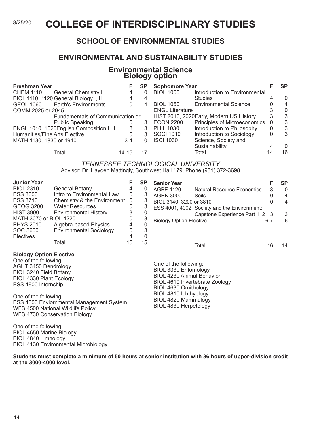### 8/25/20 **COLLEGE OF INTERDISCIPLINARY STUDIES**

### **SCHOOL OF ENVIRONMENTAL STUDIES**

### **ENVIRONMENTAL AND SUSTAINABILITY STUDIES**

#### **Environmental Science Biology option**

| <b>Freshman Year</b>          |                                          |          | SP | <b>Sophomore Year</b>  |                                         |    | SP       |
|-------------------------------|------------------------------------------|----------|----|------------------------|-----------------------------------------|----|----------|
| <b>CHEM 1110</b>              | <b>General Chemistry I</b>               | 4        |    | <b>BIOL 1050</b>       | Introduction to Environmental           |    |          |
|                               | BIOL 1110, 1120 General Biology I, II    | 4        |    |                        | <b>Studies</b>                          |    | $\Omega$ |
| <b>GEOL 1060</b>              | <b>Earth's Environments</b>              | $\Omega$ | 4  | <b>BIOL 1060</b>       | <b>Environmental Science</b>            |    | 4        |
| COMM 2025 or 2045             |                                          |          |    | <b>ENGL Literature</b> |                                         |    | $\Omega$ |
|                               | Fundamentals of Communication or         |          |    |                        | HIST 2010, 2020Early, Modern US History | 3  | -3       |
|                               | <b>Public Speaking</b>                   |          | 3  | <b>ECON 2200</b>       | Principles of Microeconomics            | 0  | 3        |
|                               | ENGL 1010, 1020English Composition I, II | 3        | 3  | <b>PHIL 1030</b>       | Introduction to Philosophy              | 0  | 3        |
| Humanities/Fine Arts Elective |                                          |          | 3  | <b>SOCI 1010</b>       | Introduction to Sociology               | 0  | 3        |
| MATH 1130, 1830 or 1910       |                                          | $3-4$    |    | <b>ISCI 1030</b>       | Science, Society and                    |    |          |
|                               |                                          |          |    |                        | Sustainability                          |    | $\Omega$ |
|                               | Total                                    | 14-15    |    |                        | Total                                   | 14 | 16       |

#### *TENNESSEE TECHNOLOGICAL UNIVERSITY* Advisor: Dr. Hayden Mattingly, Southwest Hall 179, Phone (931) 372-3698

| <b>Junior Year</b>             |                                |    | <b>SP</b> | <b>Senior Year</b>               |                                             |         | <b>SP</b> |
|--------------------------------|--------------------------------|----|-----------|----------------------------------|---------------------------------------------|---------|-----------|
| <b>BIOL 2310</b>               | General Botany                 | 4  | 0         | AGBE 4120                        | <b>Natural Resource Economics</b>           | 3       | 0         |
| <b>ESS 3000</b>                | Intro to Environmental Law     | 0  | 3         | <b>AGRN 3000</b>                 | Soils                                       | 0       | 4         |
| <b>ESS 3710</b>                | Chemistry & the Environment 0  |    | 3         | BIOL 3140, 3200 or 3810          |                                             | 0       | 4         |
| GEOG 3200                      | <b>Water Resources</b>         | 0  | 3         |                                  | ESS 4001, 4002 Society and the Environment: |         |           |
| <b>HIST 3900</b>               | Environmental History          | 3  | O         |                                  | Capstone Experience Part 1, 2 3             |         | 3         |
| MATH 3070 or BIOL 4220         |                                | 0  | 3         | <b>Biology Option Elective</b>   |                                             | $6 - 7$ | 6         |
| <b>PHYS 2010</b>               | Algebra-based Physics I        | 4  | 0         |                                  |                                             |         |           |
| SOC 3600                       | <b>Environmental Sociology</b> | 0  | 3         |                                  |                                             |         |           |
| <b>Electives</b>               |                                | 4  | 0         |                                  |                                             |         |           |
|                                | Total                          | 15 | 15        |                                  | Total                                       | 16      | 14        |
| <b>Biology Option Elective</b> |                                |    |           |                                  |                                             |         |           |
| One of the following:          |                                |    |           | One of the following:            |                                             |         |           |
| AGHT 3450 Dendrology           |                                |    |           | BIOL 3330 Entomology             |                                             |         |           |
| BIOL 3240 Field Botany         |                                |    |           | <b>BIOL 4230 Animal Behavior</b> |                                             |         |           |
| BIOL 4330 Plant Ecology        |                                |    |           | BIOL 4610 Invertebrate Zoology   |                                             |         |           |
| ESS 4900 Internship            |                                |    |           | <b>DIOL 4000 Outside also</b>    |                                             |         |           |

One of the following: ESS 4300 Enviornmental Management System WFS 4500 National Wildlife Policy WFS 4730 Conservation Biology

One of the following: BIOL 4650 Marine Biology BIOL 4840 Limnology BIOL 4130 Environmental Microbiology

BIOL 4610 Invertebrate Zoology BIOL 4630 Ornithology BIOL 4810 Ichthyology BIOL 4820 Mammalogy BIOL 4830 Herpetology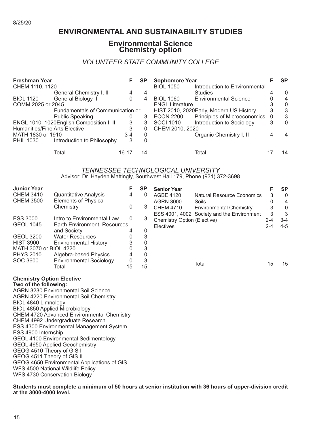### **ENVIRONMENTAL AND SUSTAINABILITY STUDIES**

#### **Environmental Science Chemistry option**

#### *VOLUNTEER STATE COMMUNITY COLLEGE*

| <b>Freshman Year</b>          |                                          |       | SP | <b>Sophomore Year</b>  |                                         |   | <b>SP</b> |
|-------------------------------|------------------------------------------|-------|----|------------------------|-----------------------------------------|---|-----------|
| CHEM 1110, 1120               |                                          |       |    | <b>BIOL 1050</b>       | Introduction to Environmental           |   |           |
|                               | General Chemistry I, II                  | 4     | 4  |                        | <b>Studies</b>                          | 4 | $\Omega$  |
| <b>BIOL 1120</b>              | General Biology II                       | 0     | 4  | <b>BIOL 1060</b>       | <b>Environmental Science</b>            |   | 4         |
| COMM 2025 or 2045             |                                          |       |    | <b>ENGL Literature</b> |                                         |   | $\Omega$  |
|                               | Fundamentals of Communication or         |       |    |                        | HIST 2010, 2020Early, Modern US History | 3 | 3         |
|                               | <b>Public Speaking</b>                   | O     | 3  | <b>ECON 2200</b>       | Principles of Microeconomics 0          |   | -3        |
|                               | ENGL 1010, 1020English Composition I, II | 3     | 3  | <b>SOCI 1010</b>       | Introduction to Sociology               | 3 | $\Omega$  |
| Humanities/Fine Arts Elective |                                          | 3     | 0  | CHEM 2010, 2020        |                                         |   |           |
| MATH 1830 or 1910             |                                          | $3-4$ | 0  |                        | Organic Chemistry I, II                 |   | 4         |
| <b>PHIL 1030</b>              | Introduction to Philosophy               | 3     | 0  |                        |                                         |   |           |
|                               | Total                                    | 16-17 | 14 |                        | Total                                   |   | 14        |

#### *TENNESSEE TECHNOLOGICAL UNIVERSITY*

Advisor: Dr. Hayden Mattingly, Southwest Hall 179, Phone (931) 372-3698

| <b>Junior Year</b>     |                                | F  | <b>SP</b> | <b>Senior Year</b>          |                                            |         | <b>SP</b> |
|------------------------|--------------------------------|----|-----------|-----------------------------|--------------------------------------------|---------|-----------|
| <b>CHEM 3410</b>       | <b>Quantitative Analysis</b>   | 4  | 0         | <b>AGBE 4120</b>            | <b>Natural Resource Economics</b>          | 3       | $\Omega$  |
| <b>CHEM 3500</b>       | <b>Elements of Physical</b>    |    |           | <b>AGRN 3000</b>            | Soils                                      | 0       | 4         |
|                        | Chemistry                      | 0  | 3         | <b>CHEM 4710</b>            | <b>Environmental Chemistry</b>             | 3       | $\Omega$  |
|                        |                                |    |           |                             | ESS 4001, 4002 Society and the Environment | 3       | 3         |
| <b>ESS 3000</b>        | Intro to Environmental Law     | 0  | 3         | Chemistry Option (Elective) |                                            | $2 - 4$ | 3-4       |
| <b>GEOL 1045</b>       | Earth Environment, Resources   |    |           | <b>Electives</b>            |                                            | 2-4     | 4-5       |
|                        | and Society                    | 4  | O         |                             |                                            |         |           |
| <b>GEOL 3200</b>       | <b>Water Resources</b>         |    | 3         |                             |                                            |         |           |
| <b>HIST 3900</b>       | Environmental History          |    | 0         |                             |                                            |         |           |
| MATH 3070 or BIOL 4220 |                                |    | 3         |                             |                                            |         |           |
| <b>PHYS 2010</b>       | Algebra-based Physics I        |    | 0         |                             |                                            |         |           |
| SOC 3600               | <b>Environmental Sociology</b> | 0  | 3         |                             |                                            |         |           |
|                        | Total                          | 15 | 15        |                             | Total                                      | 15      | 15        |
|                        |                                |    |           |                             |                                            |         |           |

### **Chemistry Option Elective**

**Two of the following:** AGRN 3230 Environmental Soil Science AGRN 4220 Environmental Soil Chemistry BIOL 4840 Limnology BIOL 4850 Applied Microbiology CHEM 4720 Advanced Environmental Chemistry CHEM 4992 Undergraduate Research ESS 4300 Environmental Management System ESS 4900 Internship GEOL 4100 Environmental Sedimentology GEOL 4650 Applied Geochemistry GEOG 4510 Theory of GIS I GEOG 4511 Theory of GIS II GEOG 4650 Environmental Applications of GIS WFS 4500 National Wildlife Policy WFS 4730 Conservation Biology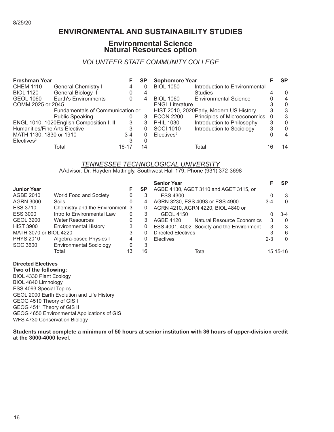### **ENVIRONMENTAL AND SUSTAINABILITY STUDIES**

#### **Environmental Science Natural Resources option**

#### *VOLUNTEER STATE COMMUNITY COLLEGE*

| <b>Freshman Year</b>          |                                          |       | <b>SP</b> | <b>Sophomore Year</b>  |                                         |    | <b>SP</b> |
|-------------------------------|------------------------------------------|-------|-----------|------------------------|-----------------------------------------|----|-----------|
| <b>CHEM 1110</b>              | <b>General Chemistry I</b>               | 4     | 0         | <b>BIOL 1050</b>       | Introduction to Environmental           |    |           |
| <b>BIOL 1120</b>              | General Biology II                       |       | 4         |                        | <b>Studies</b>                          |    | 0         |
| <b>GEOL 1060</b>              | <b>Earth's Environments</b>              | 0     | 4         | <b>BIOL 1060</b>       | <b>Environmental Science</b>            |    | 4         |
| COMM 2025 or 2045             |                                          |       |           | <b>ENGL Literature</b> |                                         |    | $\Omega$  |
|                               | Fundamentals of Communication or         |       |           |                        | HIST 2010, 2020Early, Modern US History | 3  | 3         |
|                               | <b>Public Speaking</b>                   |       | 3         | <b>ECON 2200</b>       | Principles of Microeconomics            | -0 | 3         |
|                               | ENGL 1010, 1020English Composition I, II | 3     | 3         | <b>PHIL 1030</b>       | Introduction to Philosophy              | 3  | 0         |
| Humanities/Fine Arts Elective |                                          | 3     | 0         | <b>SOCI 1010</b>       | Introduction to Sociology               | 3  | $\Omega$  |
| MATH 1130, 1830 or 1910       |                                          | $3-4$ | 0         | Electives <sup>2</sup> |                                         |    | 4         |
| Electives <sup>2</sup>        |                                          |       |           |                        |                                         |    |           |
|                               | Total                                    | 16-17 | 14        |                        | Total                                   | 16 | 14        |

#### *TENNESSEE TECHNOLOGICAL UNIVERSITY* AAdvisor: Dr. Hayden Mattingly, Southwest Hall 179, Phone (931) 372-3698

|                        |                                 |    |           | <b>Senior Year</b>                                    |         | <b>SP</b>  |
|------------------------|---------------------------------|----|-----------|-------------------------------------------------------|---------|------------|
| <b>Junior Year</b>     |                                 | F. | <b>SP</b> | AGBE 4130, AGET 3110 and AGET 3115, or                |         |            |
| AGBE 2010              | World Food and Society          | 0  | 3         | <b>ESS 4300</b>                                       |         | 3          |
| <b>AGRN 3000</b>       | Soils                           | 0  | 4         | AGRN 3230, ESS 4093 or ESS 4900                       | 3-4     | $\Omega$   |
| <b>ESS 3710</b>        | Chemistry and the Environment 3 |    | 0         | AGRN 4210, AGRN 4220, BIOL 4840 or                    |         |            |
| <b>ESS 3000</b>        | Intro to Environmental Law      | 0  | 3         | <b>GEOL 4150</b>                                      |         | 3-4        |
| <b>GEOL 3200</b>       | <b>Water Resources</b>          | 0  | 3         | <b>AGBE 4120</b><br><b>Natural Resource Economics</b> | 3       | $\Omega$   |
| <b>HIST 3900</b>       | <b>Environmental History</b>    | 3  | 0         | ESS 4001, 4002 Society and the Environment            | 3       | 3          |
| MATH 3070 or BIOL 4220 |                                 | 3  | 0         | <b>Directed Electives</b>                             | 3       | 6          |
| <b>PHYS 2010</b>       | Algebra-based Physics I         | 4  | 0         | <b>Electives</b>                                      | $2 - 3$ | $\Omega$   |
| SOC 3600               | <b>Environmental Sociology</b>  | 0  | 3         |                                                       |         |            |
|                        | Total                           |    | 16        | Total                                                 |         | 15 15 - 16 |

**Directed Electives Two of the following:** BIOL 4330 Plant Ecology BIOL 4840 Limnology ESS 4093 Special Topics GEOL 2000 Earth Evolution and Life History GEOG 4510 Theory of GIS I GEOG 4511 Theory of GIS II GEOG 4650 Environmental Applications of GIS WFS 4730 Conservation Biology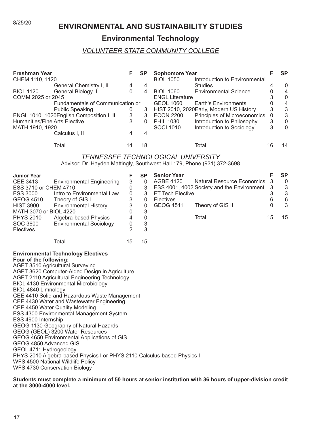# 8/25/20 **ENVIRONMENTAL AND SUSTAINABILITY STUDIES**

### **Environmental Technology**

#### *VOLUNTEER STATE COMMUNITY COLLEGE*

| <b>Freshman Year</b><br>CHEM 1110, 1120<br><b>BIOL 1120</b><br>COMM 2025 or 2045<br>Humanities/Fine Arts Elective<br>MATH 1910, 1920                                                             | General Chemistry I, II<br>General Biology II<br>Fundamentals of Communication or<br><b>Public Speaking</b><br>ENGL 1010, 1020English Composition I, II<br>Calculus I, II                                                                                                                                                                                                                                                                                                                                                                                                                                                                                               | F<br>4<br>0<br>0<br>3<br>3<br>4                                                                        | <b>SP</b><br>4<br>4<br>3<br>3<br>$\Omega$<br>4                                                      | <b>Sophomore Year</b><br><b>BIOL 1050</b><br><b>BIOL 1060</b><br><b>ENGL Literature</b><br><b>GEOL 1060</b><br><b>ECON 2200</b><br><b>PHIL 1030</b><br><b>SOCI 1010</b> | Introduction to Environmental<br><b>Studies</b><br><b>Environmental Science</b><br><b>Earth's Environments</b><br>HIST 2010, 2020Early, Modern US History<br>Principles of Microeconomics<br>Introduction to Philosophy<br>Introduction to Sociology | F<br>4<br>0<br>3<br>0<br>3<br>$\mathsf 0$<br>$\ensuremath{\mathsf{3}}$<br>3 | <b>SP</b><br>$\boldsymbol{0}$<br>4<br>$\boldsymbol{0}$<br>$\overline{4}$<br>$\mathfrak{S}$<br>$\sqrt{3}$<br>$\pmb{0}$<br>$\mathbf 0$ |
|--------------------------------------------------------------------------------------------------------------------------------------------------------------------------------------------------|-------------------------------------------------------------------------------------------------------------------------------------------------------------------------------------------------------------------------------------------------------------------------------------------------------------------------------------------------------------------------------------------------------------------------------------------------------------------------------------------------------------------------------------------------------------------------------------------------------------------------------------------------------------------------|--------------------------------------------------------------------------------------------------------|-----------------------------------------------------------------------------------------------------|-------------------------------------------------------------------------------------------------------------------------------------------------------------------------|------------------------------------------------------------------------------------------------------------------------------------------------------------------------------------------------------------------------------------------------------|-----------------------------------------------------------------------------|--------------------------------------------------------------------------------------------------------------------------------------|
|                                                                                                                                                                                                  | Total                                                                                                                                                                                                                                                                                                                                                                                                                                                                                                                                                                                                                                                                   | 14                                                                                                     | 18                                                                                                  |                                                                                                                                                                         | Total                                                                                                                                                                                                                                                | 16                                                                          | 14                                                                                                                                   |
|                                                                                                                                                                                                  | Advisor: Dr. Hayden Mattingly, Southwest Hall 179, Phone (931) 372-3698                                                                                                                                                                                                                                                                                                                                                                                                                                                                                                                                                                                                 |                                                                                                        |                                                                                                     | TENNESSEE TECHNOLOGICAL UNIVERSITY                                                                                                                                      |                                                                                                                                                                                                                                                      |                                                                             |                                                                                                                                      |
| <b>Junior Year</b><br><b>CEE 3413</b><br>ESS 3710 or CHEM 4710<br><b>ESS 3000</b><br><b>GEOG 4510</b><br><b>HIST 3900</b><br>MATH 3070 or BIOL 4220<br><b>PHYS 2010</b><br>SOC 3600<br>Electives | <b>Environmental Engineering</b><br>Intro to Environmental Law<br>Theory of GIS I<br><b>Environmental History</b><br>Algebra-based Physics I<br><b>Environmental Sociology</b>                                                                                                                                                                                                                                                                                                                                                                                                                                                                                          | F<br>3<br>0<br>$\boldsymbol{0}$<br>3<br>3<br>0<br>$\overline{4}$<br>$\boldsymbol{0}$<br>$\overline{2}$ | <b>SP</b><br>$\mathbf 0$<br>$\sqrt{3}$<br>3<br>$\mathbf 0$<br>$\pmb{0}$<br>3<br>$\pmb{0}$<br>3<br>3 | <b>Senior Year</b><br>AGBE 4120<br><b>ET Tech Elective</b><br>Electives<br><b>GEOG 4511</b>                                                                             | <b>Natural Resource Economics</b><br>ESS 4001, 4002 Society and the Environment<br>Theory of GIS II<br>Total                                                                                                                                         | F<br>$\mathsf 3$<br>3<br>$\ensuremath{\mathsf{3}}$<br>6<br>0<br>15          | <b>SP</b><br>$\boldsymbol{0}$<br>$\sqrt{3}$<br>$\ensuremath{\mathsf{3}}$<br>$6\,$<br>3<br>15                                         |
|                                                                                                                                                                                                  | Total                                                                                                                                                                                                                                                                                                                                                                                                                                                                                                                                                                                                                                                                   | 15                                                                                                     | 15                                                                                                  |                                                                                                                                                                         |                                                                                                                                                                                                                                                      |                                                                             |                                                                                                                                      |
| Four of the following:<br>BIOL 4840 Limnology<br>ESS 4900 Internship<br>GEOG 4850 Advanced GIS<br>GEOL 4711 Hydrogeology<br>WFS 4730 Conservation Biology                                        | <b>Environmental Technology Electives</b><br><b>AGET 3510 Agricultural Surveying</b><br>AGET 3620 Computer-Aided Design in Agriculture<br><b>AGET 2110 Agricultural Engineering Technology</b><br><b>BIOL 4130 Environmental Microbiology</b><br>CEE 4410 Solid and Hazardous Waste Management<br>CEE 4430 Water and Wastewater Engineering<br>CEE 4450 Water Quality Modeling<br>ESS 4300 Environmental Management System<br>GEOG 1130 Geography of Natural Hazards<br>GEOG (GEOL) 3200 Water Resources<br>GEOG 4650 Environmental Applications of GIS<br>PHYS 2010 Algebra-based Physics I or PHYS 2110 Calculus-based Physics I<br>WFS 4500 National Wildlife Policy |                                                                                                        |                                                                                                     |                                                                                                                                                                         |                                                                                                                                                                                                                                                      |                                                                             |                                                                                                                                      |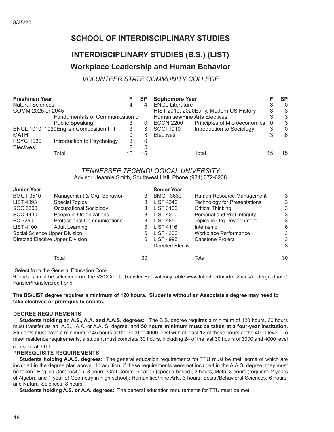### **SCHOOL OF INTERDISCIPLINARY STUDIES**

## **INTERDISCIPLINARY STUDIES (B.S.) (LIST) Workplace Leadership and Human Behavior**

#### *VOLUNTEER STATE COMMUNITY COLLEGE*

| <b>Freshman Year</b>    |                                          |   |          | <b>Sophomore Year</b>                            |     | <b>SP</b>    |
|-------------------------|------------------------------------------|---|----------|--------------------------------------------------|-----|--------------|
| <b>Natural Sciences</b> |                                          |   |          | <b>ENGL Literature</b>                           |     | $\Omega$     |
| COMM 2025 or 2045       |                                          |   |          | HIST 2010, 2020Early, Modern US History          | 3   | 3            |
|                         | Fundumentals of Communication or         |   |          | Humanities/Fine Arts Electives                   |     | -3           |
|                         | <b>Public Speaking</b>                   |   | $\Omega$ | Principles of Microeconomics<br><b>ECON 2200</b> | - 0 | 3            |
|                         | ENGL 1010, 1020English Composition I, II | 3 | 3        | Introduction to Sociology<br><b>SOCI 1010</b>    | 3   | $\mathbf{0}$ |
| MATH <sup>1</sup>       |                                          |   |          | Electives <sup>2</sup>                           |     | 6            |
| <b>PSYC 1030</b>        | Introduction to Psychology               | 3 |          |                                                  |     |              |
| Electives <sup>2</sup>  |                                          | ◠ | 5        |                                                  |     |              |
|                         | Total                                    |   | 15       | Total                                            |     | 15           |

### *TENNESSEE TECHNOLOGICAL UNIVERSITY*

Advisor: Jeannie Smith, Southwest Hall, Phone (931) 372-6238

| <b>Junior Year</b>            |                                    |    | <b>Senior Year</b>       |                                     |    |
|-------------------------------|------------------------------------|----|--------------------------|-------------------------------------|----|
| <b>BMGT 3510</b>              | Management & Org. Behavior         | 3  | <b>BMGT 3630</b>         | Human Resource Management           | 3  |
| <b>LIST 4093</b>              | <b>Special Topics</b>              | 3  | <b>LIST 4340</b>         | <b>Technology for Presentations</b> | 3  |
| SOC 3300                      | Occupational Sociology             | 3  | <b>LIST 3100</b>         | <b>Critical Thinking</b>            | 3  |
| SOC 4430                      | People in Organizations            | 3  | <b>LIST 4200</b>         | Personal and Prof Integrity         | 3  |
| PC 3250                       | <b>Professional Communications</b> |    | <b>LIST 4850</b>         | Topics in Org Development           | 3  |
| <b>LIST 4100</b>              | Adult Learning                     | 3  | <b>LIST 4116</b>         | Internship                          | 6  |
| Social Science Upper Division |                                    | 6  | LIST 4300                | Workplace Performance               | 3  |
|                               | Directed Elective Upper Division   | 6  | <b>LIST 4995</b>         | Capstone Project                    | 3  |
|                               |                                    |    | <b>Directed Elective</b> |                                     | 3  |
|                               | Total                              | 30 |                          | Total                               | 30 |

1 Select from the General Education Core.

2 Courses must be selected from the VSCC/TTU Transfer Equivalency table www.tntech.edu/admissions/undergraduate/ transfer/transfercredit.php

#### **The BS/LIST degree requires a minimum of 120 hours. Students without an Associate's degree may need to take electives or prerequisite credits.**

#### **DEGREE REQUIREMENTS**

 **Students holding an A.S., A.A. and A.A.S. degrees:** The B.S. degree requires a minimum of 120 hours, 60 hours must transfer as an A.S., A.A. or A.A. S. degree, and **50 hours minimum must be taken at a four-year institution.** Students must have a minimum of 45 hours at the 3000 or 4000 level with at least 12 of these hours at the 4000 level. To meet residence requirements, a student must complete 30 hours, including 24 of the last 30 hours of 3000 and 4000 level courses, at TTU.

#### **PREREQUISITE REQUIREMENTS**

 **Students holding A.A.S. degrees:** The general education requirements for TTU must be met, some of which are included in the degree plan above. In addition, if these requirements were not included in the A.A.S. degree, they must be taken: English Composition, 3 hours; Oral Communication (speech-based), 3 hours; Math, 3 hours (requiring 2 years of Algebra and 1 year of Geometry in high school); Humanities/Fine Arts, 3 hours; Social/Behavioral Sciences, 6 hours; and Natural Sciences, 8 hours.

**Students holding A.S. or A.A. degrees:** The general education requirements for TTU must be met.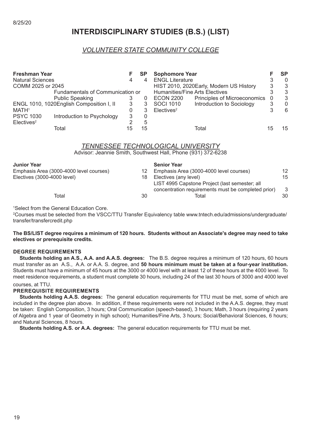### **INTERDISCIPLINARY STUDIES (B.S.) (LIST)**

#### *VOLUNTEER STATE COMMUNITY COLLEGE*

| <b>Freshman Year</b><br><b>Natural Sciences</b><br>COMM 2025 or 2045 |                                          |   | <b>SP</b><br>4 | <b>Sophomore Year</b><br><b>ENGL Literature</b> | HIST 2010, 2020Early, Modern US History | 3 | <b>SP</b><br>$\mathbf{0}$<br>3 |
|----------------------------------------------------------------------|------------------------------------------|---|----------------|-------------------------------------------------|-----------------------------------------|---|--------------------------------|
|                                                                      | Fundamentals of Communication or         |   |                | Humanities/Fine Arts Electives                  |                                         |   | -3                             |
|                                                                      | <b>Public Speaking</b>                   |   | 0              | <b>ECON 2200</b>                                | Principles of Microeconomics            |   | 3                              |
|                                                                      | ENGL 1010, 1020English Composition I, II | 3 |                | <b>SOCI 1010</b>                                | Introduction to Sociology               | 3 | $\mathbf{0}$                   |
| MATH <sup>1</sup>                                                    |                                          |   |                | Electives <sup>2</sup>                          |                                         |   | 6                              |
| <b>PSYC 1030</b>                                                     | Introduction to Psychology               | 3 | 0              |                                                 |                                         |   |                                |
| Electives <sup>2</sup>                                               |                                          | ົ | 5              |                                                 |                                         |   |                                |
|                                                                      | Total                                    |   | 15             |                                                 | Total                                   |   | 15                             |

#### *TENNESSEE TECHNOLOGICAL UNIVERSITY*

Advisor: Jeannie Smith, Southwest Hall, Phone (931) 372-6238

#### **Junior Year**

| <b>Junior Year</b>                      |     | <b>Senior Year</b>                                  |    |
|-----------------------------------------|-----|-----------------------------------------------------|----|
| Emphasis Area (3000-4000 level courses) | 12  | Emphasis Area (3000-4000 level courses)             | 12 |
| Electives (3000-4000 level)             | 18. | Electives (any level)                               | 15 |
|                                         |     | LIST 4995 Capstone Project (last semester; all      |    |
|                                         |     | concentration requirements must be completed prior) | -3 |
| Total                                   | 30  | Total                                               | 30 |
|                                         |     |                                                     |    |

1 Select from the General Education Core.

2 Courses must be selected from the VSCC/TTU Transfer Equivalency table www.tntech.edu/admissions/undergraduate/ transfer/transfercredit.php

#### **The BS/LIST degree requires a minimum of 120 hours. Students without an Associate's degree may need to take electives or prerequisite credits.**

#### **DEGREE REQUIREMENTS**

 **Students holding an A.S., A.A. and A.A.S. degrees:** The B.S. degree requires a minimum of 120 hours, 60 hours must transfer as an A.S., A.A. or A.A. S. degree, and **50 hours minimum must be taken at a four-year institution.** Students must have a minimum of 45 hours at the 3000 or 4000 level with at least 12 of these hours at the 4000 level. To meet residence requirements, a student must complete 30 hours, including 24 of the last 30 hours of 3000 and 4000 level

#### courses, at TTU.

#### **PREREQUISITE REQUIREMENTS**

 **Students holding A.A.S. degrees:** The general education requirements for TTU must be met, some of which are included in the degree plan above. In addition, if these requirements were not included in the A.A.S. degree, they must be taken: English Composition, 3 hours; Oral Communication (speech-based), 3 hours; Math, 3 hours (requiring 2 years of Algebra and 1 year of Geometry in high school); Humanities/Fine Arts, 3 hours; Social/Behavioral Sciences, 6 hours; and Natural Sciences, 8 hours.

**Students holding A.S. or A.A. degrees:** The general education requirements for TTU must be met.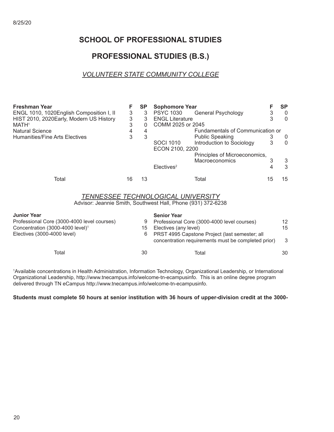### **SCHOOL OF PROFESSIONAL STUDIES**

### **PROFESSIONAL STUDIES (B.S.)**

### *VOLUNTEER STATE COMMUNITY COLLEGE*

| <b>Freshman Year</b>                         | F                        | <b>SP</b> | <b>Sophomore Year</b>                                                                                     | F<br><b>SP</b>      |
|----------------------------------------------|--------------------------|-----------|-----------------------------------------------------------------------------------------------------------|---------------------|
| ENGL 1010, 1020English Composition I, II     | 3                        | 3         | <b>PSYC 1030</b><br>General Psychology                                                                    | 3<br>$\overline{0}$ |
| HIST 2010, 2020 Early, Modern US History     | 3                        | 3         | <b>ENGL Literature</b>                                                                                    | 3<br>$\Omega$       |
| MATH <sup>1</sup>                            | 3                        | 0         | COMM 2025 or 2045                                                                                         |                     |
| <b>Natural Science</b>                       | $\overline{\mathcal{A}}$ | 4         | Fundamentals of Communication or                                                                          |                     |
| Humanities/Fine Arts Electives               | 3                        | 3         | <b>Public Speaking</b>                                                                                    | 3<br>$\overline{0}$ |
|                                              |                          |           | SOCI 1010<br>Introduction to Sociology                                                                    | 3<br>$\Omega$       |
|                                              |                          |           | ECON 2100, 2200                                                                                           |                     |
|                                              |                          |           | Principles of Microeconomics,                                                                             |                     |
|                                              |                          |           | Macroeconomics                                                                                            | 3<br>$\mathfrak{S}$ |
|                                              |                          |           | Electives <sup>2</sup>                                                                                    | 3<br>4              |
|                                              |                          |           |                                                                                                           |                     |
| Total                                        | 16                       | 13        | 15<br>Total                                                                                               | 15                  |
|                                              |                          |           | <b>TENNESSEE TECHNOLOGICAL UNIVERSITY</b><br>Advisor: Jeannie Smith, Southwest Hall, Phone (931) 372-6238 |                     |
|                                              |                          |           |                                                                                                           |                     |
| <b>Junior Year</b>                           |                          |           | <b>Senior Year</b>                                                                                        |                     |
| Professional Core (3000-4000 level courses)  |                          | 9         | Professional Core (3000-4000 level courses)                                                               | 12 <sup>°</sup>     |
| Concentration (3000-4000 level) <sup>1</sup> |                          | 15        | Electives (any level)                                                                                     | 15                  |
| Electives (3000-4000 level)                  |                          | 6         | PRST 4995 Capstone Project (last semester; all                                                            |                     |
|                                              |                          |           | concentration requirements must be completed prior)                                                       | 3                   |
| Total                                        |                          | 30        | Total                                                                                                     | 30                  |

1 Available concentrations in Health Administration, Information Technology, Organizational Leadership, or International Organizational Leadership, http://www.tnecampus.info/welcome-tn-ecampusinfo. This is an online degree program delivered through TN eCampus http://www.tnecampus.info/welcome-tn-ecampusinfo.